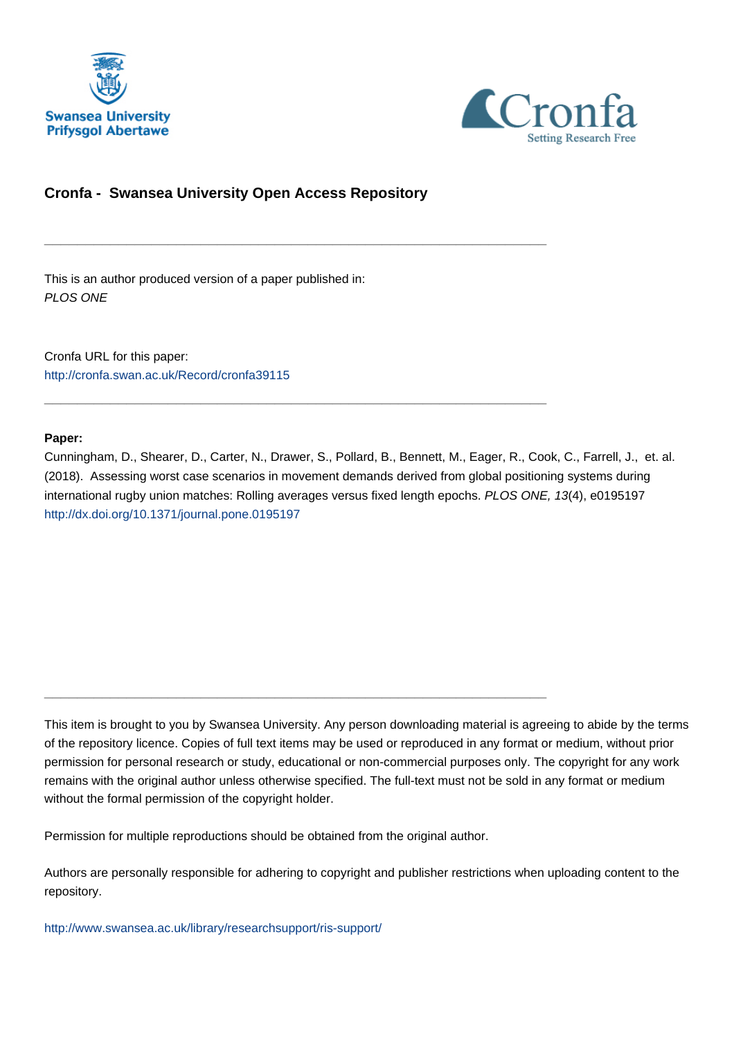



# **Cronfa - Swansea University Open Access Repository**

\_\_\_\_\_\_\_\_\_\_\_\_\_\_\_\_\_\_\_\_\_\_\_\_\_\_\_\_\_\_\_\_\_\_\_\_\_\_\_\_\_\_\_\_\_\_\_\_\_\_\_\_\_\_\_\_\_\_\_\_\_

\_\_\_\_\_\_\_\_\_\_\_\_\_\_\_\_\_\_\_\_\_\_\_\_\_\_\_\_\_\_\_\_\_\_\_\_\_\_\_\_\_\_\_\_\_\_\_\_\_\_\_\_\_\_\_\_\_\_\_\_\_

This is an author produced version of a paper published in: PLOS ONE

Cronfa URL for this paper: <http://cronfa.swan.ac.uk/Record/cronfa39115>

### **Paper:**

Cunningham, D., Shearer, D., Carter, N., Drawer, S., Pollard, B., Bennett, M., Eager, R., Cook, C., Farrell, J., et. al. (2018). Assessing worst case scenarios in movement demands derived from global positioning systems during international rugby union matches: Rolling averages versus fixed length epochs. PLOS ONE, 13(4), e0195197 <http://dx.doi.org/10.1371/journal.pone.0195197>

This item is brought to you by Swansea University. Any person downloading material is agreeing to abide by the terms of the repository licence. Copies of full text items may be used or reproduced in any format or medium, without prior permission for personal research or study, educational or non-commercial purposes only. The copyright for any work remains with the original author unless otherwise specified. The full-text must not be sold in any format or medium without the formal permission of the copyright holder.

Permission for multiple reproductions should be obtained from the original author.

\_\_\_\_\_\_\_\_\_\_\_\_\_\_\_\_\_\_\_\_\_\_\_\_\_\_\_\_\_\_\_\_\_\_\_\_\_\_\_\_\_\_\_\_\_\_\_\_\_\_\_\_\_\_\_\_\_\_\_\_\_

Authors are personally responsible for adhering to copyright and publisher restrictions when uploading content to the repository.

[http://www.swansea.ac.uk/library/researchsupport/ris-support/](http://www.swansea.ac.uk/library/researchsupport/ris-support/ )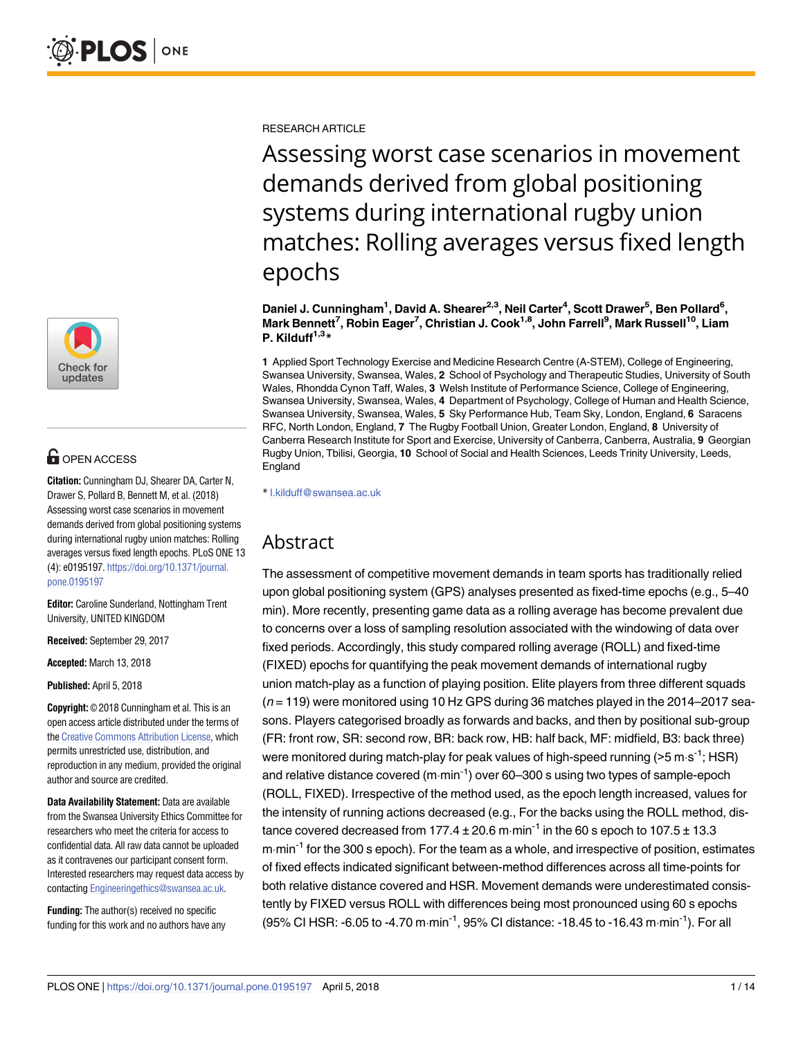

# **OPEN ACCESS**

**Citation:** Cunningham DJ, Shearer DA, Carter N, Drawer S, Pollard B, Bennett M, et al. (2018) Assessing worst case scenarios in movement demands derived from global positioning systems during international rugby union matches: Rolling averages versus fixed length epochs. PLoS ONE 13 (4): e0195197. https://doi.org/10.1371/journal. pone.0195197

**Editor:** Caroline Sunderland, Nottingham Trent University, UNITED KINGDOM

**Received:** September 29, 2017

**Accepted:** March 13, 2018

**Published:** April 5, 2018

**Copyright:** © 2018 Cunningham et al. This is an open access article distributed under the terms of the Creative Commons Attribution License, which permits unrestricted use, distribution, and reproduction in any medium, provided the original author and source are credited.

**Data Availability Statement:** Data are available from the Swansea University Ethics Committee for researchers who meet the criteria for access to confidential data. All raw data cannot be uploaded as it contravenes our participant consent form. Interested researchers may request data access by contacting Engineeringethics@swansea.ac.uk.

**Funding:** The author(s) received no specific funding for this work and no authors have any RESEARCH ARTICLE

Assessing worst case scenarios in movement demands derived from global positioning systems during international rugby union matches: Rolling averages versus fixed length epochs

**Daniel J. Cunningham1 , David A. Shearer2,3, Neil Carter4 , Scott Drawer5 , Ben Pollard6 , Mark Bennett7 , Robin Eager7 , Christian J. Cook1,8, John Farrell9 , Mark Russell10, Liam**  $P.$  **Kilduff**<sup> $1,3$ </sup> $*$ 

**1** Applied Sport Technology Exercise and Medicine Research Centre (A-STEM), College of Engineering, Swansea University, Swansea, Wales, **2** School of Psychology and Therapeutic Studies, University of South Wales, Rhondda Cynon Taff, Wales, **3** Welsh Institute of Performance Science, College of Engineering, Swansea University, Swansea, Wales, **4** Department of Psychology, College of Human and Health Science, Swansea University, Swansea, Wales, **5** Sky Performance Hub, Team Sky, London, England, **6** Saracens RFC, North London, England, **7** The Rugby Football Union, Greater London, England, **8** University of Canberra Research Institute for Sport and Exercise, University of Canberra, Canberra, Australia, **9** Georgian Rugby Union, Tbilisi, Georgia, **10** School of Social and Health Sciences, Leeds Trinity University, Leeds, England

\* l.kilduff@swansea.ac.uk

# Abstract

The assessment of competitive movement demands in team sports has traditionally relied upon global positioning system (GPS) analyses presented as fixed-time epochs (e.g., 5–40 min). More recently, presenting game data as a rolling average has become prevalent due to concerns over a loss of sampling resolution associated with the windowing of data over fixed periods. Accordingly, this study compared rolling average (ROLL) and fixed-time (FIXED) epochs for quantifying the peak movement demands of international rugby union match-play as a function of playing position. Elite players from three different squads  $(n=119)$  were monitored using 10 Hz GPS during 36 matches played in the 2014–2017 seasons. Players categorised broadly as forwards and backs, and then by positional sub-group (FR: front row, SR: second row, BR: back row, HB: half back, MF: midfield, B3: back three) were monitored during match-play for peak values of high-speed running ( $>5 \text{ m} \cdot \text{s}^{-1}$ ; HSR) and relative distance covered ( $m \cdot min^{-1}$ ) over 60–300 s using two types of sample-epoch (ROLL, FIXED). Irrespective of the method used, as the epoch length increased, values for the intensity of running actions decreased (e.g., For the backs using the ROLL method, distance covered decreased from 177.4  $\pm$  20.6 m·min<sup>-1</sup> in the 60 s epoch to 107.5  $\pm$  13.3  $m \cdot min^{-1}$  for the 300 s epoch). For the team as a whole, and irrespective of position, estimates of fixed effects indicated significant between-method differences across all time-points for both relative distance covered and HSR. Movement demands were underestimated consistently by FIXED versus ROLL with differences being most pronounced using 60 s epochs (95% CI HSR: -6.05 to -4.70 m $\cdot$ min<sup>-1</sup>, 95% CI distance: -18.45 to -16.43 m $\cdot$ min<sup>-1</sup>). For all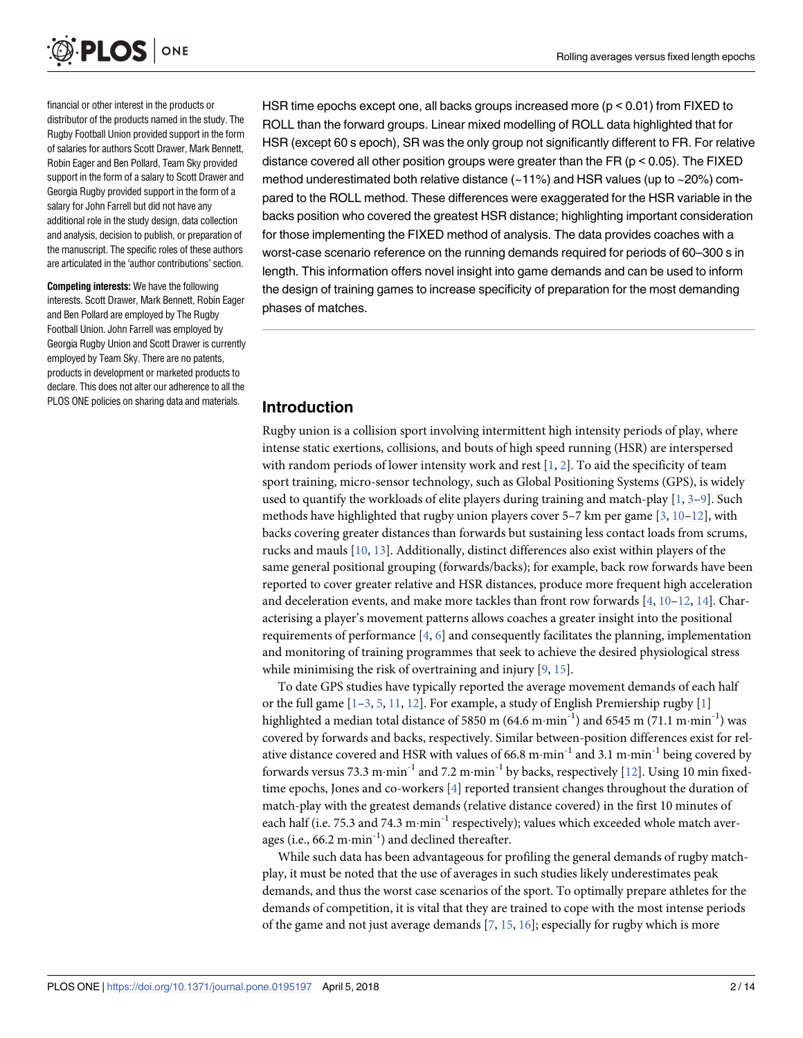

financial or other interest in the products or distributor of the products named in the study. The Rugby Football Union provided support in the form of salaries for authors Scott Drawer, Mark Bennett, Robin Eager and Ben Pollard, Team Sky provided support in the form of a salary to Scott Drawer and Georgia Rugby provided support in the form of a salary for John Farrell but did not have any additional role in the study design, data collection and analysis, decision to publish, or preparation of the manuscript. The specific roles of these authors are articulated in the 'author contributions' section.

**Competing interests:** We have the following interests. Scott Drawer, Mark Bennett, Robin Eager and Ben Pollard are employed by The Rugby Football Union. John Farrell was employed by Georgia Rugby Union and Scott Drawer is currently employed by Team Sky. There are no patents, products in development or marketed products to declare. This does not alter our adherence to all the PLOS ONE policies on sharing data and materials.

HSR time epochs except one, all backs groups increased more (p < 0.01) from FIXED to ROLL than the forward groups. Linear mixed modelling of ROLL data highlighted that for HSR (except 60 s epoch), SR was the only group not significantly different to FR. For relative distance covered all other position groups were greater than the FR ( $p < 0.05$ ). The FIXED method underestimated both relative distance (~11%) and HSR values (up to ~20%) compared to the ROLL method. These differences were exaggerated for the HSR variable in the backs position who covered the greatest HSR distance; highlighting important consideration for those implementing the FIXED method of analysis. The data provides coaches with a worst-case scenario reference on the running demands required for periods of 60–300 s in length. This information offers novel insight into game demands and can be used to inform the design of training games to increase specificity of preparation for the most demanding phases of matches.

## **Introduction**

Rugby union is a collision sport involving intermittent high intensity periods of play, where intense static exertions, collisions, and bouts of high speed running (HSR) are interspersed with random periods of lower intensity work and rest  $[1, 2]$ . To aid the specificity of team sport training, micro-sensor technology, such as Global Positioning Systems (GPS), is widely used to quantify the workloads of elite players during training and match-play [1, 3–9]. Such methods have highlighted that rugby union players cover 5–7 km per game  $[3, 10-12]$ , with backs covering greater distances than forwards but sustaining less contact loads from scrums, rucks and mauls [10, 13]. Additionally, distinct differences also exist within players of the same general positional grouping (forwards/backs); for example, back row forwards have been reported to cover greater relative and HSR distances, produce more frequent high acceleration and deceleration events, and make more tackles than front row forwards [4, 10–12, 14]. Characterising a player's movement patterns allows coaches a greater insight into the positional requirements of performance [4, 6] and consequently facilitates the planning, implementation and monitoring of training programmes that seek to achieve the desired physiological stress while minimising the risk of overtraining and injury [9, 15].

To date GPS studies have typically reported the average movement demands of each half or the full game  $[1-3, 5, 11, 12]$ . For example, a study of English Premiership rugby  $[1]$ highlighted a median total distance of 5850 m (64.6 m·min<sup>-1</sup>) and 6545 m (71.1 m·min<sup>-1</sup>) was covered by forwards and backs, respectively. Similar between-position differences exist for relative distance covered and HSR with values of 66.8 m·min<sup>-1</sup> and 3.1 m·min<sup>-1</sup> being covered by forwards versus 73.3 m·min<sup>-1</sup> and 7.2 m·min<sup>-1</sup> by backs, respectively [12]. Using 10 min fixedtime epochs, Jones and co-workers [4] reported transient changes throughout the duration of match-play with the greatest demands (relative distance covered) in the first 10 minutes of each half (i.e. 75.3 and 74.3 m $\cdot$ min<sup>-1</sup> respectively); values which exceeded whole match averages (i.e.,  $66.2 \text{ m-min}^{-1}$ ) and declined thereafter.

While such data has been advantageous for profiling the general demands of rugby matchplay, it must be noted that the use of averages in such studies likely underestimates peak demands, and thus the worst case scenarios of the sport. To optimally prepare athletes for the demands of competition, it is vital that they are trained to cope with the most intense periods of the game and not just average demands  $[7, 15, 16]$ ; especially for rugby which is more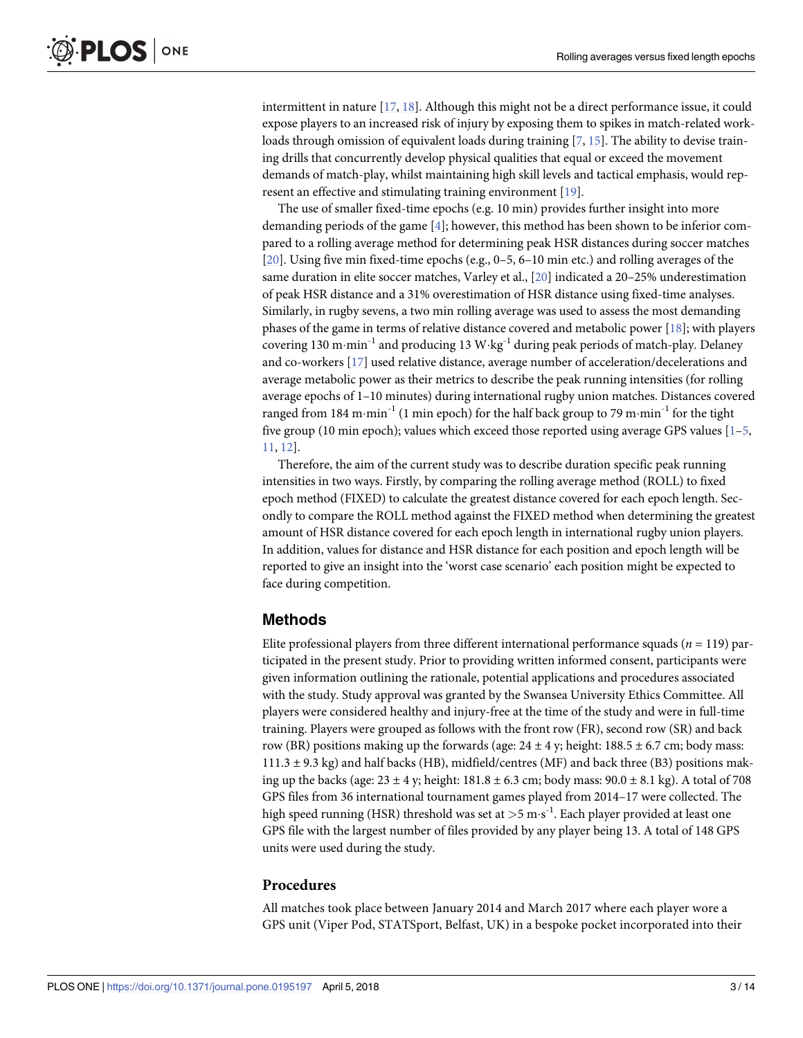intermittent in nature [17, 18]. Although this might not be a direct performance issue, it could expose players to an increased risk of injury by exposing them to spikes in match-related workloads through omission of equivalent loads during training  $[7, 15]$ . The ability to devise training drills that concurrently develop physical qualities that equal or exceed the movement demands of match-play, whilst maintaining high skill levels and tactical emphasis, would represent an effective and stimulating training environment [19].

The use of smaller fixed-time epochs (e.g. 10 min) provides further insight into more demanding periods of the game [4]; however, this method has been shown to be inferior compared to a rolling average method for determining peak HSR distances during soccer matches [20]. Using five min fixed-time epochs (e.g., 0–5, 6–10 min etc.) and rolling averages of the same duration in elite soccer matches, Varley et al., [20] indicated a 20–25% underestimation of peak HSR distance and a 31% overestimation of HSR distance using fixed-time analyses. Similarly, in rugby sevens, a two min rolling average was used to assess the most demanding phases of the game in terms of relative distance covered and metabolic power [18]; with players covering 130 m·min<sup>-1</sup> and producing 13 W·kg<sup>-1</sup> during peak periods of match-play. Delaney and co-workers [17] used relative distance, average number of acceleration/decelerations and average metabolic power as their metrics to describe the peak running intensities (for rolling average epochs of 1–10 minutes) during international rugby union matches. Distances covered ranged from 184 m $\cdot$ min<sup>-1</sup> (1 min epoch) for the half back group to 79 m $\cdot$ min<sup>-1</sup> for the tight five group (10 min epoch); values which exceed those reported using average GPS values [1–5, 11, 12].

Therefore, the aim of the current study was to describe duration specific peak running intensities in two ways. Firstly, by comparing the rolling average method (ROLL) to fixed epoch method (FIXED) to calculate the greatest distance covered for each epoch length. Secondly to compare the ROLL method against the FIXED method when determining the greatest amount of HSR distance covered for each epoch length in international rugby union players. In addition, values for distance and HSR distance for each position and epoch length will be reported to give an insight into the 'worst case scenario' each position might be expected to face during competition.

## **Methods**

Elite professional players from three different international performance squads  $(n = 119)$  participated in the present study. Prior to providing written informed consent, participants were given information outlining the rationale, potential applications and procedures associated with the study. Study approval was granted by the Swansea University Ethics Committee. All players were considered healthy and injury-free at the time of the study and were in full-time training. Players were grouped as follows with the front row (FR), second row (SR) and back row (BR) positions making up the forwards (age:  $24 \pm 4$  y; height: 188.5  $\pm$  6.7 cm; body mass:  $111.3 \pm 9.3$  kg) and half backs (HB), midfield/centres (MF) and back three (B3) positions making up the backs (age:  $23 \pm 4$  y; height:  $181.8 \pm 6.3$  cm; body mass:  $90.0 \pm 8.1$  kg). A total of 708 GPS files from 36 international tournament games played from 2014–17 were collected. The high speed running (HSR) threshold was set at >5 m·s<sup>-1</sup>. Each player provided at least one GPS file with the largest number of files provided by any player being 13. A total of 148 GPS units were used during the study.

## **Procedures**

All matches took place between January 2014 and March 2017 where each player wore a GPS unit (Viper Pod, STATSport, Belfast, UK) in a bespoke pocket incorporated into their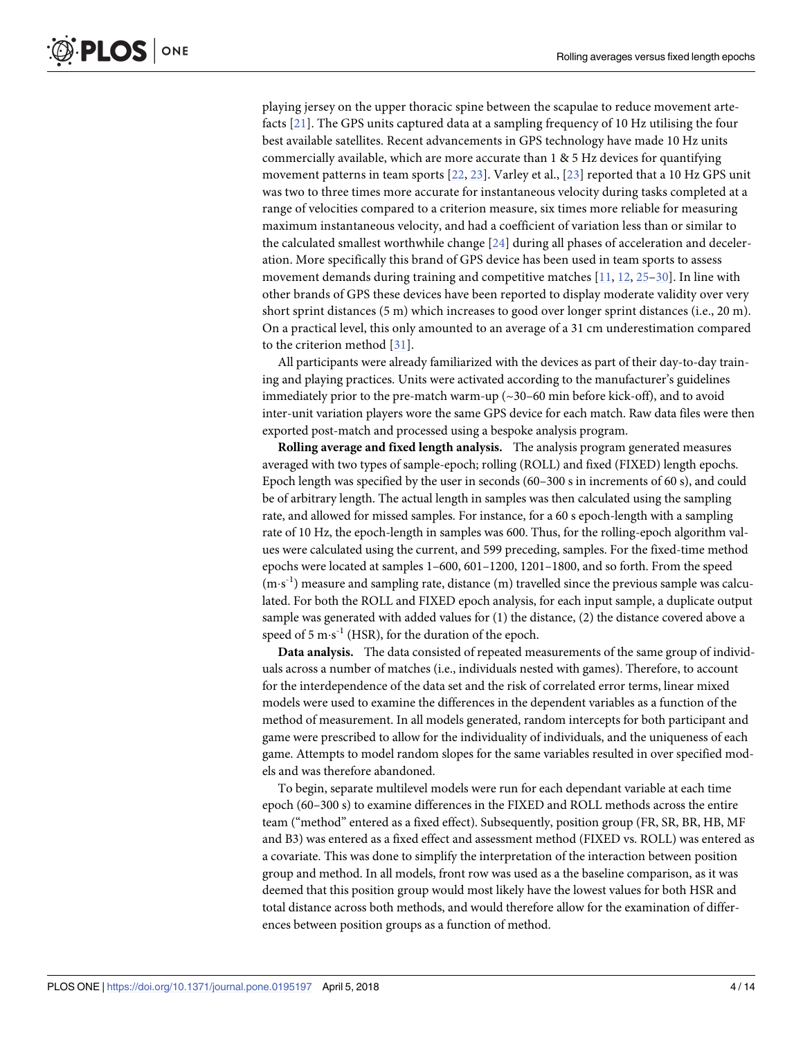playing jersey on the upper thoracic spine between the scapulae to reduce movement artefacts [21]. The GPS units captured data at a sampling frequency of 10 Hz utilising the four best available satellites. Recent advancements in GPS technology have made 10 Hz units commercially available, which are more accurate than 1 & 5 Hz devices for quantifying movement patterns in team sports [22, 23]. Varley et al., [23] reported that a 10 Hz GPS unit was two to three times more accurate for instantaneous velocity during tasks completed at a range of velocities compared to a criterion measure, six times more reliable for measuring maximum instantaneous velocity, and had a coefficient of variation less than or similar to the calculated smallest worthwhile change [24] during all phases of acceleration and deceleration. More specifically this brand of GPS device has been used in team sports to assess movement demands during training and competitive matches [11, 12, 25–30]. In line with other brands of GPS these devices have been reported to display moderate validity over very short sprint distances (5 m) which increases to good over longer sprint distances (i.e., 20 m). On a practical level, this only amounted to an average of a 31 cm underestimation compared to the criterion method [31].

All participants were already familiarized with the devices as part of their day-to-day training and playing practices. Units were activated according to the manufacturer's guidelines immediately prior to the pre-match warm-up (~30–60 min before kick-off), and to avoid inter-unit variation players wore the same GPS device for each match. Raw data files were then exported post-match and processed using a bespoke analysis program.

**Rolling average and fixed length analysis.** The analysis program generated measures averaged with two types of sample-epoch; rolling (ROLL) and fixed (FIXED) length epochs. Epoch length was specified by the user in seconds (60–300 s in increments of 60 s), and could be of arbitrary length. The actual length in samples was then calculated using the sampling rate, and allowed for missed samples. For instance, for a 60 s epoch-length with a sampling rate of 10 Hz, the epoch-length in samples was 600. Thus, for the rolling-epoch algorithm values were calculated using the current, and 599 preceding, samples. For the fixed-time method epochs were located at samples 1–600, 601–1200, 1201–1800, and so forth. From the speed (m·s<sup>-1</sup>) measure and sampling rate, distance (m) travelled since the previous sample was calculated. For both the ROLL and FIXED epoch analysis, for each input sample, a duplicate output sample was generated with added values for (1) the distance, (2) the distance covered above a speed of 5 m $\cdot$ s<sup>-1</sup> (HSR), for the duration of the epoch.

**Data analysis.** The data consisted of repeated measurements of the same group of individuals across a number of matches (i.e., individuals nested with games). Therefore, to account for the interdependence of the data set and the risk of correlated error terms, linear mixed models were used to examine the differences in the dependent variables as a function of the method of measurement. In all models generated, random intercepts for both participant and game were prescribed to allow for the individuality of individuals, and the uniqueness of each game. Attempts to model random slopes for the same variables resulted in over specified models and was therefore abandoned.

To begin, separate multilevel models were run for each dependant variable at each time epoch (60–300 s) to examine differences in the FIXED and ROLL methods across the entire team ("method" entered as a fixed effect). Subsequently, position group (FR, SR, BR, HB, MF and B3) was entered as a fixed effect and assessment method (FIXED vs. ROLL) was entered as a covariate. This was done to simplify the interpretation of the interaction between position group and method. In all models, front row was used as a the baseline comparison, as it was deemed that this position group would most likely have the lowest values for both HSR and total distance across both methods, and would therefore allow for the examination of differences between position groups as a function of method.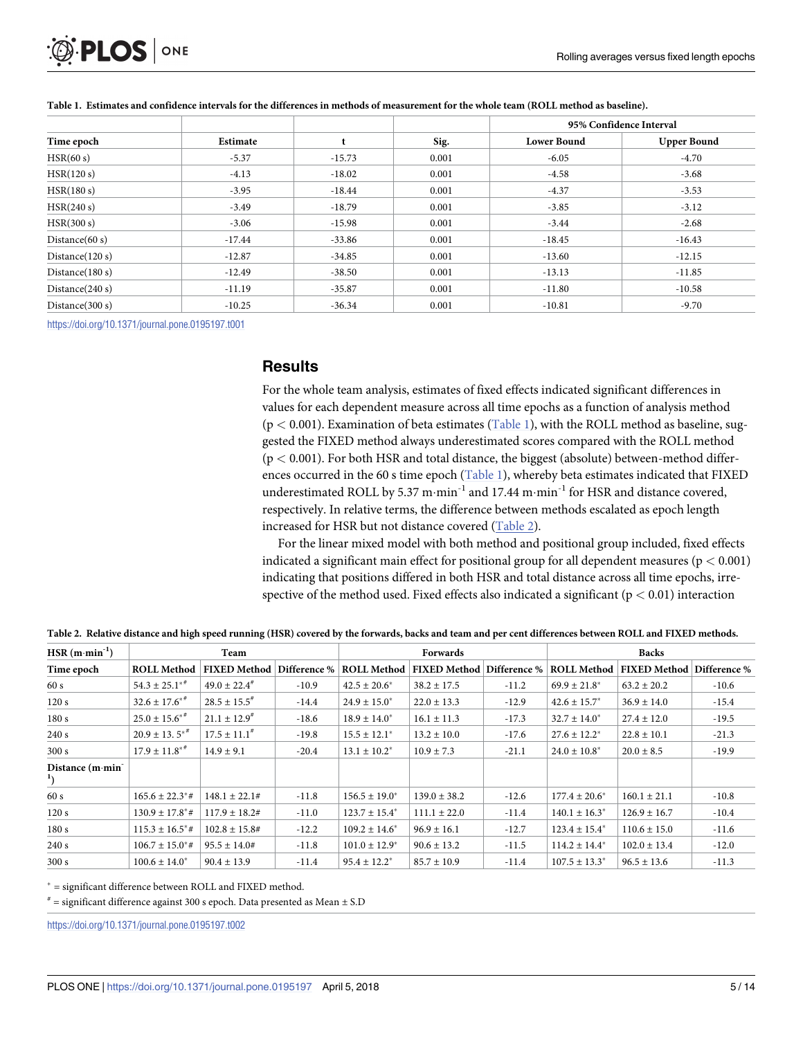

|                    |          |          |       | 95% Confidence Interval |                    |  |
|--------------------|----------|----------|-------|-------------------------|--------------------|--|
| Time epoch         | Estimate |          | Sig.  | <b>Lower Bound</b>      | <b>Upper Bound</b> |  |
| HSR(60 s)          | $-5.37$  | $-15.73$ | 0.001 | $-6.05$                 | $-4.70$            |  |
| HSR(120 s)         | $-4.13$  | $-18.02$ | 0.001 | $-4.58$                 | $-3.68$            |  |
| HSR(180 s)         | $-3.95$  | $-18.44$ | 0.001 | $-4.37$                 | $-3.53$            |  |
| HSR(240 s)         | $-3.49$  | $-18.79$ | 0.001 | $-3.85$                 | $-3.12$            |  |
| HSR(300 s)         | $-3.06$  | $-15.98$ | 0.001 | $-3.44$                 | $-2.68$            |  |
| Distance $(60 s)$  | $-17.44$ | $-33.86$ | 0.001 | $-18.45$                | $-16.43$           |  |
| Distance $(120 s)$ | $-12.87$ | $-34.85$ | 0.001 | $-13.60$                | $-12.15$           |  |
| Distance $(180 s)$ | $-12.49$ | $-38.50$ | 0.001 | $-13.13$                | $-11.85$           |  |
| Distance $(240 s)$ | $-11.19$ | $-35.87$ | 0.001 | $-11.80$                | $-10.58$           |  |
| Distance $(300 s)$ | $-10.25$ | $-36.34$ | 0.001 | $-10.81$                | $-9.70$            |  |

Table 1. Estimates and confidence intervals for the differences in methods of measurement for the whole team (ROLL method as baseline).

https://doi.org/10.1371/journal.pone.0195197.t001

### **Results**

For the whole team analysis, estimates of fixed effects indicated significant differences in values for each dependent measure across all time epochs as a function of analysis method (p *<* 0.001). Examination of beta estimates (Table 1), with the ROLL method as baseline, suggested the FIXED method always underestimated scores compared with the ROLL method (p *<* 0.001). For both HSR and total distance, the biggest (absolute) between-method differences occurred in the 60 s time epoch (Table 1), whereby beta estimates indicated that FIXED underestimated ROLL by 5.37 m·min<sup>-1</sup> and 17.44 m·min<sup>-1</sup> for HSR and distance covered, respectively. In relative terms, the difference between methods escalated as epoch length increased for HSR but not distance covered (Table 2).

For the linear mixed model with both method and positional group included, fixed effects indicated a significant main effect for positional group for all dependent measures (p *<* 0.001) indicating that positions differed in both HSR and total distance across all time epochs, irrespective of the method used. Fixed effects also indicated a significant (p *<* 0.01) interaction

| HSR $(m \cdot min^{-1})$                      | Team                            |                      |              | Forwards           |                     |              | <b>Backs</b>       |                     |              |
|-----------------------------------------------|---------------------------------|----------------------|--------------|--------------------|---------------------|--------------|--------------------|---------------------|--------------|
| Time epoch                                    | <b>ROLL Method</b>              | <b>FIXED Method</b>  | Difference % | <b>ROLL Method</b> | <b>FIXED Method</b> | Difference % | <b>ROLL Method</b> | <b>FIXED Method</b> | Difference % |
| 60s                                           | $54.3 \pm 25.1***$              | $49.0 \pm 22.4^{\#}$ | $-10.9$      | $42.5 \pm 20.6^*$  | $38.2 \pm 17.5$     | $-11.2$      | $69.9 \pm 21.8^*$  | $63.2 \pm 20.2$     | $-10.6$      |
| 120s                                          | $32.6 \pm 17.6$ <sup>**</sup>   | $28.5 \pm 15.5^*$    | $-14.4$      | $24.9 \pm 15.0^*$  | $22.0 \pm 13.3$     | $-12.9$      | $42.6 \pm 15.7^*$  | $36.9 \pm 14.0$     | $-15.4$      |
| 180s                                          | $25.0 \pm 15.6$ **              | $21.1 \pm 12.9^{\#}$ | $-18.6$      | $18.9 \pm 14.0^*$  | $16.1 \pm 11.3$     | $-17.3$      | $32.7 \pm 14.0^*$  | $27.4 \pm 12.0$     | $-19.5$      |
| 240 s                                         | $20.9 \pm 13.5$ <sup>**</sup>   | $17.5 \pm 11.1^*$    | $-19.8$      | $15.5 \pm 12.1^*$  | $13.2 \pm 10.0$     | $-17.6$      | $27.6 \pm 12.2^*$  | $22.8 \pm 10.1$     | $-21.3$      |
| 300 s                                         | $17.9 \pm 11.8**$               | $14.9 \pm 9.1$       | $-20.4$      | $13.1 \pm 10.2^*$  | $10.9 \pm 7.3$      | $-21.1$      | $24.0 \pm 10.8^*$  | $20.0 \pm 8.5$      | $-19.9$      |
| Distance $(m \cdot min^{-1})$<br>$\mathbf{1}$ |                                 |                      |              |                    |                     |              |                    |                     |              |
| 60 s                                          | $165.6 \pm 22.3$ <sup>*</sup> # | $148.1 \pm 22.1$ #   | $-11.8$      | $156.5 \pm 19.0^*$ | $139.0 \pm 38.2$    | $-12.6$      | $177.4 \pm 20.6^*$ | $160.1 \pm 21.1$    | $-10.8$      |
| 120s                                          | $130.9 \pm 17.8^*$ #            | $117.9 \pm 18.2$ #   | $-11.0$      | $123.7 \pm 15.4^*$ | $111.1 \pm 22.0$    | $-11.4$      | $140.1 \pm 16.3^*$ | $126.9 \pm 16.7$    | $-10.4$      |
| 180s                                          | $115.3 \pm 16.5$ <sup>*</sup> # | $102.8 \pm 15.8$ #   | $-12.2$      | $109.2 \pm 14.6^*$ | $96.9 \pm 16.1$     | $-12.7$      | $123.4 \pm 15.4^*$ | $110.6 \pm 15.0$    | $-11.6$      |
| 240 s                                         | $106.7 \pm 15.0$ <sup>*</sup> # | $95.5 \pm 14.0$ #    | $-11.8$      | $101.0 \pm 12.9^*$ | $90.6 \pm 13.2$     | $-11.5$      | $114.2 \pm 14.4^*$ | $102.0 \pm 13.4$    | $-12.0$      |
| 300 s                                         | $100.6 \pm 14.0^*$              | $90.4 \pm 13.9$      | $-11.4$      | $95.4 \pm 12.2^*$  | $85.7 \pm 10.9$     | $-11.4$      | $107.5 \pm 13.3^*$ | $96.5 \pm 13.6$     | $-11.3$      |

Table 2. Relative distance and high speed running (HSR) covered by the forwards, backs and team and per cent differences between ROLL and FIXED methods.

 $*$  = significant difference between ROLL and FIXED method.

 $*$  = significant difference against 300 s epoch. Data presented as Mean  $\pm$  S.D

https://doi.org/10.1371/journal.pone.0195197.t002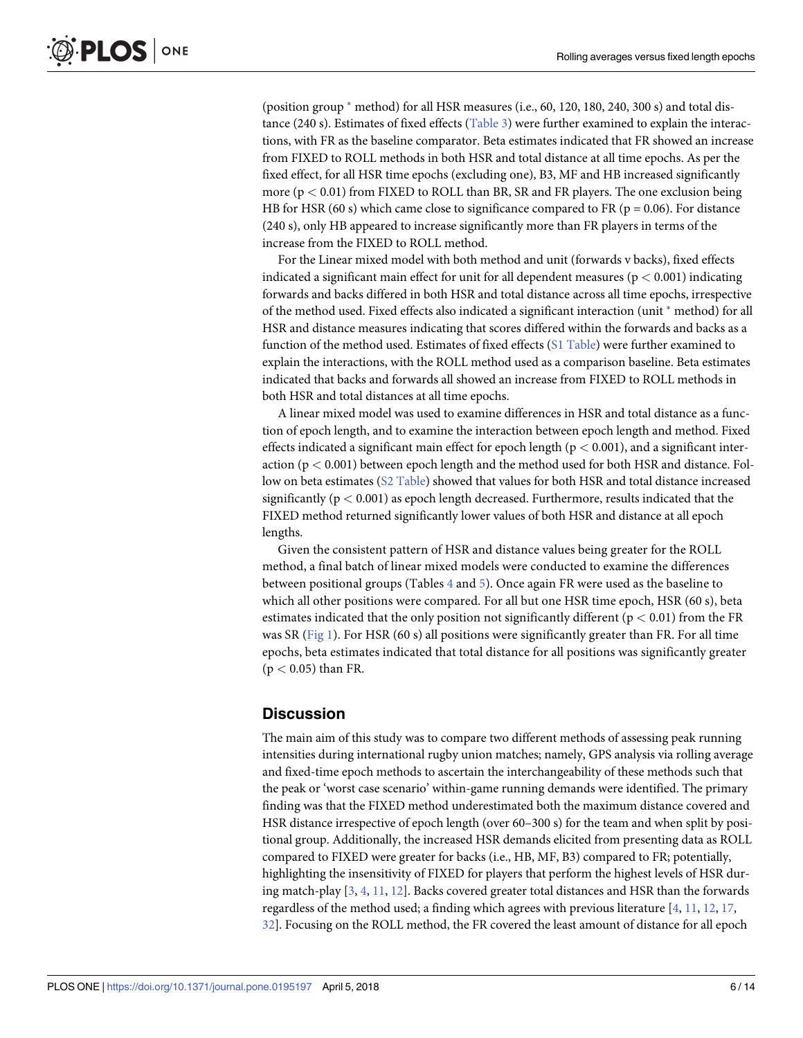(position group  $*$  method) for all HSR measures (i.e., 60, 120, 180, 240, 300 s) and total distance (240 s). Estimates of fixed effects (Table 3) were further examined to explain the interactions, with FR as the baseline comparator. Beta estimates indicated that FR showed an increase from FIXED to ROLL methods in both HSR and total distance at all time epochs. As per the fixed effect, for all HSR time epochs (excluding one), B3, MF and HB increased significantly more (p *<* 0.01) from FIXED to ROLL than BR, SR and FR players. The one exclusion being HB for HSR (60 s) which came close to significance compared to FR ( $p = 0.06$ ). For distance (240 s), only HB appeared to increase significantly more than FR players in terms of the increase from the FIXED to ROLL method.

For the Linear mixed model with both method and unit (forwards v backs), fixed effects indicated a significant main effect for unit for all dependent measures ( $p < 0.001$ ) indicating forwards and backs differed in both HSR and total distance across all time epochs, irrespective of the method used. Fixed effects also indicated a significant interaction (unit  $*$  method) for all HSR and distance measures indicating that scores differed within the forwards and backs as a function of the method used. Estimates of fixed effects (S1 Table) were further examined to explain the interactions, with the ROLL method used as a comparison baseline. Beta estimates indicated that backs and forwards all showed an increase from FIXED to ROLL methods in both HSR and total distances at all time epochs.

A linear mixed model was used to examine differences in HSR and total distance as a function of epoch length, and to examine the interaction between epoch length and method. Fixed effects indicated a significant main effect for epoch length (p *<* 0.001), and a significant interaction (p *<* 0.001) between epoch length and the method used for both HSR and distance. Follow on beta estimates (S2 Table) showed that values for both HSR and total distance increased significantly ( $p < 0.001$ ) as epoch length decreased. Furthermore, results indicated that the FIXED method returned significantly lower values of both HSR and distance at all epoch lengths.

Given the consistent pattern of HSR and distance values being greater for the ROLL method, a final batch of linear mixed models were conducted to examine the differences between positional groups (Tables 4 and 5). Once again FR were used as the baseline to which all other positions were compared. For all but one HSR time epoch, HSR (60 s), beta estimates indicated that the only position not significantly different ( $p < 0.01$ ) from the FR was SR (Fig 1). For HSR (60 s) all positions were significantly greater than FR. For all time epochs, beta estimates indicated that total distance for all positions was significantly greater (p *<* 0.05) than FR.

# **Discussion**

The main aim of this study was to compare two different methods of assessing peak running intensities during international rugby union matches; namely, GPS analysis via rolling average and fixed-time epoch methods to ascertain the interchangeability of these methods such that the peak or 'worst case scenario' within-game running demands were identified. The primary finding was that the FIXED method underestimated both the maximum distance covered and HSR distance irrespective of epoch length (over 60–300 s) for the team and when split by positional group. Additionally, the increased HSR demands elicited from presenting data as ROLL compared to FIXED were greater for backs (i.e., HB, MF, B3) compared to FR; potentially, highlighting the insensitivity of FIXED for players that perform the highest levels of HSR during match-play [3, 4, 11, 12]. Backs covered greater total distances and HSR than the forwards regardless of the method used; a finding which agrees with previous literature [4, 11, 12, 17, 32]. Focusing on the ROLL method, the FR covered the least amount of distance for all epoch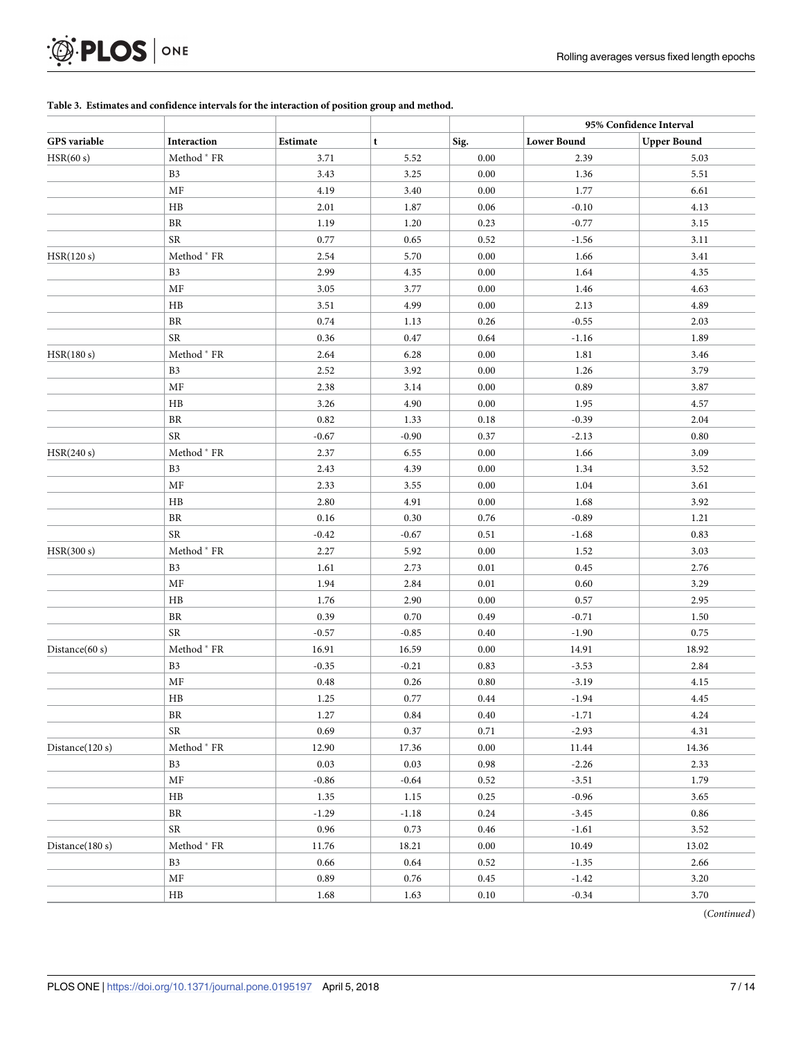# $\mathcal{D}$  PLOS  $\vert$  on E

### **Table 3. Estimates and confidence intervals for the interaction of position group and method.**

|                 |                |          |         |      |                    | 95% Confidence Interval |
|-----------------|----------------|----------|---------|------|--------------------|-------------------------|
| GPS variable    | Interaction    | Estimate | t       | Sig. | <b>Lower Bound</b> | <b>Upper Bound</b>      |
| HSR(60 s)       | Method * FR    | 3.71     | 5.52    | 0.00 | 2.39               | 5.03                    |
|                 | B <sub>3</sub> | 3.43     | 3.25    | 0.00 | 1.36               | 5.51                    |
|                 | MF             | 4.19     | 3.40    | 0.00 | 1.77               | 6.61                    |
|                 | HB             | 2.01     | 1.87    | 0.06 | $-0.10$            | 4.13                    |
|                 | $\rm{BR}$      | 1.19     | 1.20    | 0.23 | $-0.77$            | 3.15                    |
|                 | <b>SR</b>      | 0.77     | 0.65    | 0.52 | $-1.56$            | 3.11                    |
| HSR(120 s)      | Method * FR    | 2.54     | 5.70    | 0.00 | 1.66               | 3.41                    |
|                 | B <sub>3</sub> | 2.99     | 4.35    | 0.00 | 1.64               | 4.35                    |
|                 | MF             | 3.05     | 3.77    | 0.00 | 1.46               | 4.63                    |
|                 | HB             | 3.51     | 4.99    | 0.00 | 2.13               | 4.89                    |
|                 | $\rm{BR}$      | 0.74     | 1.13    | 0.26 | $-0.55$            | 2.03                    |
|                 | ${\rm SR}$     | 0.36     | 0.47    | 0.64 | $-1.16$            | 1.89                    |
| HSR(180 s)      | Method * FR    | 2.64     | 6.28    | 0.00 | 1.81               | 3.46                    |
|                 | B <sub>3</sub> | 2.52     | 3.92    | 0.00 | 1.26               | 3.79                    |
|                 | MF             | 2.38     | 3.14    | 0.00 | 0.89               | 3.87                    |
|                 | HB             | 3.26     | 4.90    | 0.00 | 1.95               | 4.57                    |
|                 | $\rm{BR}$      | 0.82     | 1.33    | 0.18 | $-0.39$            | 2.04                    |
|                 | <b>SR</b>      | $-0.67$  | $-0.90$ | 0.37 | $-2.13$            | 0.80                    |
| HSR(240 s)      | Method * FR    | 2.37     | 6.55    | 0.00 | 1.66               | 3.09                    |
|                 | B <sub>3</sub> | 2.43     | 4.39    | 0.00 | 1.34               | 3.52                    |
|                 | MF             | 2.33     | 3.55    | 0.00 | 1.04               | 3.61                    |
|                 | HB             | 2.80     | 4.91    | 0.00 | 1.68               | 3.92                    |
|                 | $\rm{BR}$      | 0.16     | 0.30    | 0.76 | $-0.89$            | 1.21                    |
|                 | <b>SR</b>      | $-0.42$  | $-0.67$ | 0.51 | $-1.68$            | 0.83                    |
| HSR(300 s)      | Method * FR    | 2.27     | 5.92    | 0.00 | 1.52               | 3.03                    |
|                 | B <sub>3</sub> | 1.61     | 2.73    | 0.01 | 0.45               | 2.76                    |
|                 | MF             | 1.94     | 2.84    | 0.01 | 0.60               | 3.29                    |
|                 | HB             | 1.76     | 2.90    | 0.00 | 0.57               | 2.95                    |
|                 | $\rm{BR}$      | 0.39     |         |      |                    |                         |
|                 | <b>SR</b>      |          | 0.70    | 0.49 | $-0.71$            | 1.50                    |
|                 |                | $-0.57$  | $-0.85$ | 0.40 | $-1.90$            | 0.75                    |
| Distance(60 s)  | Method * FR    | 16.91    | 16.59   | 0.00 | 14.91              | 18.92                   |
|                 | B <sub>3</sub> | $-0.35$  | $-0.21$ | 0.83 | $-3.53$            | 2.84                    |
|                 | MF             | 0.48     | 0.26    | 0.80 | $-3.19$            | 4.15                    |
|                 | HB             | 1.25     | 0.77    | 0.44 | $-1.94$            | 4.45                    |
|                 | BR             | 1.27     | 0.84    | 0.40 | $-1.71$            | 4.24                    |
|                 | ${\rm SR}$     | 0.69     | 0.37    | 0.71 | $-2.93$            | 4.31                    |
| Distance(120 s) | Method * FR    | 12.90    | 17.36   | 0.00 | 11.44              | 14.36                   |
|                 | B <sub>3</sub> | 0.03     | 0.03    | 0.98 | $-2.26$            | 2.33                    |
|                 | MF             | $-0.86$  | $-0.64$ | 0.52 | $-3.51$            | 1.79                    |
|                 | HB             | 1.35     | 1.15    | 0.25 | $-0.96$            | 3.65                    |
|                 | BR             | $-1.29$  | $-1.18$ | 0.24 | $-3.45$            | 0.86                    |
|                 | <b>SR</b>      | 0.96     | 0.73    | 0.46 | $-1.61$            | 3.52                    |
| Distance(180 s) | Method * FR    | 11.76    | 18.21   | 0.00 | 10.49              | 13.02                   |
|                 | B <sub>3</sub> | 0.66     | 0.64    | 0.52 | $-1.35$            | 2.66                    |
|                 | MF             | 0.89     | 0.76    | 0.45 | $-1.42$            | 3.20                    |
|                 | HB             | 1.68     | 1.63    | 0.10 | $-0.34$            | 3.70                    |

(*Continued*)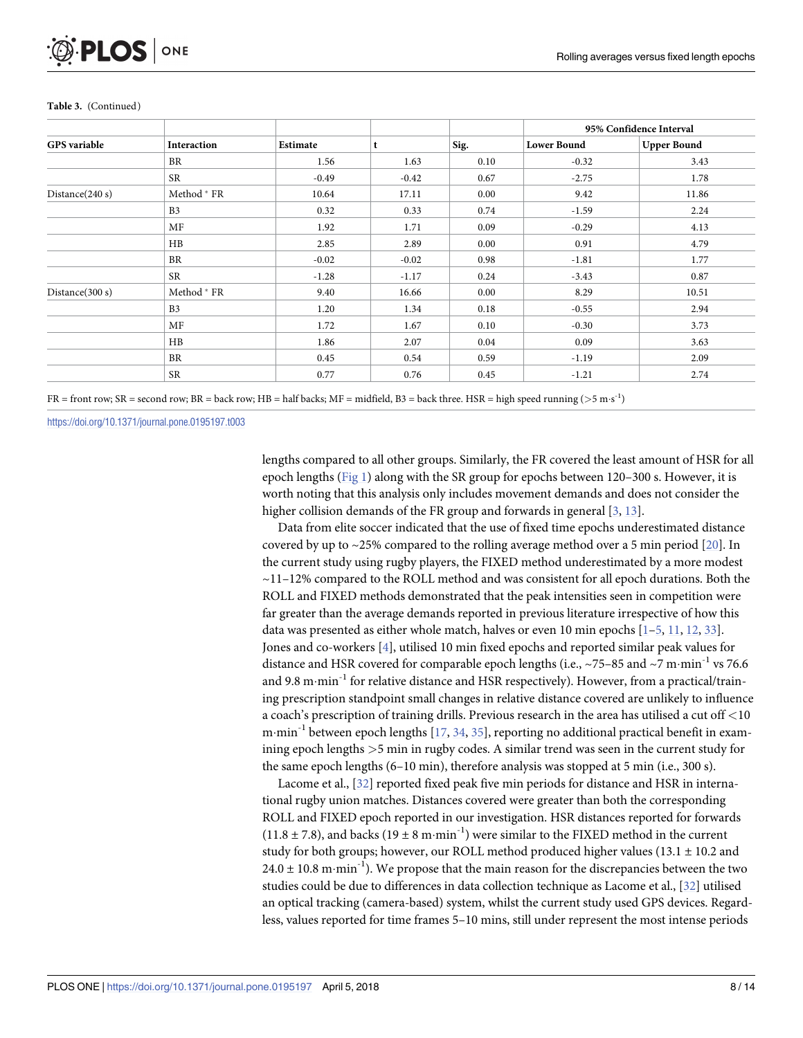|                     |                        |          |         |      | 95% Confidence Interval |                    |  |
|---------------------|------------------------|----------|---------|------|-------------------------|--------------------|--|
| <b>GPS</b> variable | <b>Interaction</b>     | Estimate | t       | Sig. | <b>Lower Bound</b>      | <b>Upper Bound</b> |  |
|                     | BR                     | 1.56     | 1.63    | 0.10 | $-0.32$                 | 3.43               |  |
|                     | <b>SR</b>              | $-0.49$  | $-0.42$ | 0.67 | $-2.75$                 | 1.78               |  |
| Distance $(240 s)$  | Method * FR            | 10.64    | 17.11   | 0.00 | 9.42                    | 11.86              |  |
|                     | B <sub>3</sub>         | 0.32     | 0.33    | 0.74 | $-1.59$                 | 2.24               |  |
|                     | MF                     | 1.92     | 1.71    | 0.09 | $-0.29$                 | 4.13               |  |
|                     | HB                     | 2.85     | 2.89    | 0.00 | 0.91                    | 4.79               |  |
|                     | BR                     | $-0.02$  | $-0.02$ | 0.98 | $-1.81$                 | 1.77               |  |
|                     | <b>SR</b>              | $-1.28$  | $-1.17$ | 0.24 | $-3.43$                 | 0.87               |  |
| Distance(300 s)     | Method <sup>*</sup> FR | 9.40     | 16.66   | 0.00 | 8.29                    | 10.51              |  |
|                     | B <sub>3</sub>         | 1.20     | 1.34    | 0.18 | $-0.55$                 | 2.94               |  |
|                     | MF                     | 1.72     | 1.67    | 0.10 | $-0.30$                 | 3.73               |  |
|                     | HB                     | 1.86     | 2.07    | 0.04 | 0.09                    | 3.63               |  |
|                     | <b>BR</b>              | 0.45     | 0.54    | 0.59 | $-1.19$                 | 2.09               |  |
|                     | <b>SR</b>              | 0.77     | 0.76    | 0.45 | $-1.21$                 | 2.74               |  |

#### **Table 3.** (Continued)

 $FR =$  front row;  $SR =$  second row;  $BR =$  back row;  $HB =$  half backs;  $MF =$  midfield,  $B3 =$  back three. HSR = high speed running ( $> 5 \text{ m} \cdot \text{s}^{-1}$ )

https://doi.org/10.1371/journal.pone.0195197.t003

lengths compared to all other groups. Similarly, the FR covered the least amount of HSR for all epoch lengths (Fig 1) along with the SR group for epochs between 120–300 s. However, it is worth noting that this analysis only includes movement demands and does not consider the higher collision demands of the FR group and forwards in general [3, 13].

Data from elite soccer indicated that the use of fixed time epochs underestimated distance covered by up to  $\sim$  25% compared to the rolling average method over a 5 min period [20]. In the current study using rugby players, the FIXED method underestimated by a more modest  $\sim$ 11–12% compared to the ROLL method and was consistent for all epoch durations. Both the ROLL and FIXED methods demonstrated that the peak intensities seen in competition were far greater than the average demands reported in previous literature irrespective of how this data was presented as either whole match, halves or even 10 min epochs [1–5, 11, 12, 33]. Jones and co-workers [4], utilised 10 min fixed epochs and reported similar peak values for distance and HSR covered for comparable epoch lengths (i.e.,  $\sim$  75–85 and  $\sim$ 7 m·min<sup>-1</sup> vs 76.6 and 9.8 m $\cdot$ min<sup>-1</sup> for relative distance and HSR respectively). However, from a practical/training prescription standpoint small changes in relative distance covered are unlikely to influence a coach's prescription of training drills. Previous research in the area has utilised a cut off *<*10 m·min<sup>-1</sup> between epoch lengths  $[17, 34, 35]$ , reporting no additional practical benefit in examining epoch lengths *>*5 min in rugby codes. A similar trend was seen in the current study for the same epoch lengths (6–10 min), therefore analysis was stopped at 5 min (i.e., 300 s).

Lacome et al., [32] reported fixed peak five min periods for distance and HSR in international rugby union matches. Distances covered were greater than both the corresponding ROLL and FIXED epoch reported in our investigation. HSR distances reported for forwards  $(11.8 \pm 7.8)$ , and backs  $(19 \pm 8 \text{ m}\cdot\text{min}^{-1})$  were similar to the FIXED method in the current study for both groups; however, our ROLL method produced higher values  $(13.1 \pm 10.2 \text{ and } 10.2 \text{)}$  $24.0 \pm 10.8$  m·min<sup>-1</sup>). We propose that the main reason for the discrepancies between the two studies could be due to differences in data collection technique as Lacome et al., [32] utilised an optical tracking (camera-based) system, whilst the current study used GPS devices. Regardless, values reported for time frames 5–10 mins, still under represent the most intense periods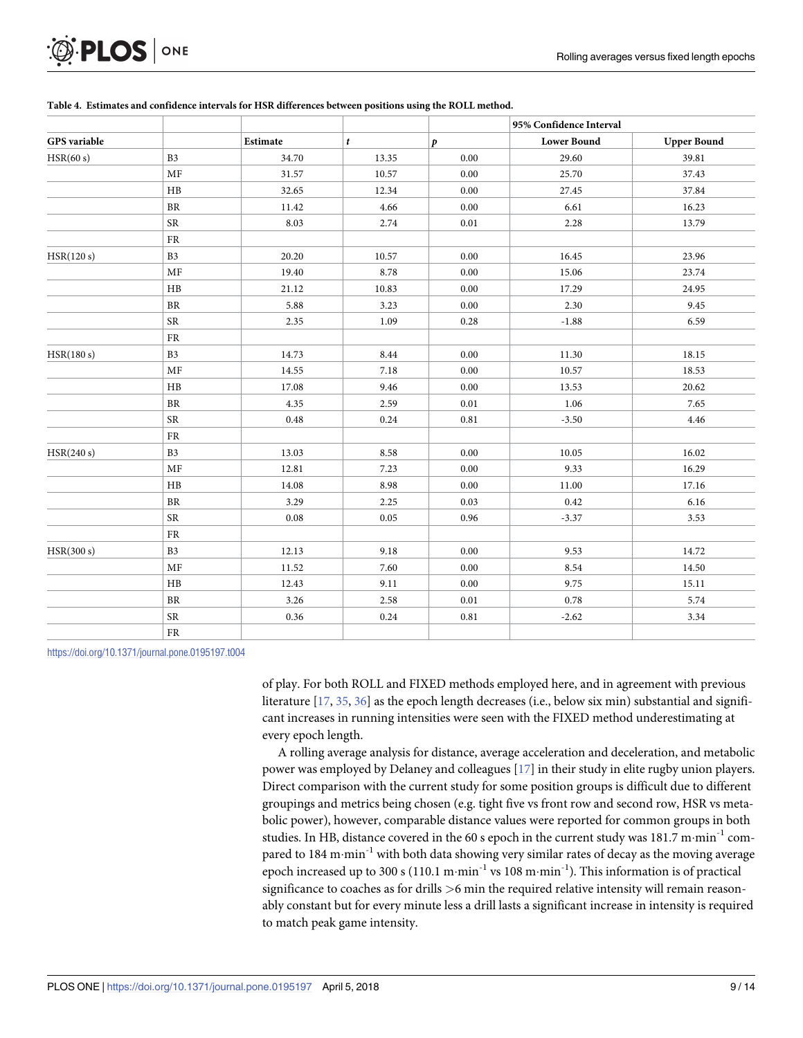|                     |                |          |       |                  | 95% Confidence Interval |                    |  |
|---------------------|----------------|----------|-------|------------------|-------------------------|--------------------|--|
| <b>GPS</b> variable |                | Estimate | t     | $\boldsymbol{p}$ | <b>Lower Bound</b>      | <b>Upper Bound</b> |  |
| HSR(60 s)           | B <sub>3</sub> | 34.70    | 13.35 | $0.00\,$         | 29.60                   | 39.81              |  |
|                     | MF             | 31.57    | 10.57 | 0.00             | 25.70                   | 37.43              |  |
|                     | $\rm{HB}$      | 32.65    | 12.34 | 0.00             | 27.45                   | 37.84              |  |
|                     | $\rm{BR}$      | 11.42    | 4.66  | 0.00             | 6.61                    | 16.23              |  |
|                     | ${\sf SR}$     | 8.03     | 2.74  | 0.01             | 2.28                    | 13.79              |  |
|                     | ${\rm FR}$     |          |       |                  |                         |                    |  |
| HSR(120 s)          | B <sub>3</sub> | 20.20    | 10.57 | 0.00             | 16.45                   | 23.96              |  |
|                     | MF             | 19.40    | 8.78  | 0.00             | 15.06                   | 23.74              |  |
|                     | $\rm{HB}$      | 21.12    | 10.83 | $0.00\,$         | 17.29                   | 24.95              |  |
|                     | <b>BR</b>      | 5.88     | 3.23  | 0.00             | 2.30                    | 9.45               |  |
|                     | ${\sf SR}$     | 2.35     | 1.09  | 0.28             | $-1.88$                 | 6.59               |  |
|                     | ${\rm FR}$     |          |       |                  |                         |                    |  |
| HSR(180 s)          | B <sub>3</sub> | 14.73    | 8.44  | 0.00             | 11.30                   | 18.15              |  |
|                     | MF             | 14.55    | 7.18  | 0.00             | 10.57                   | 18.53              |  |
|                     | HB             | 17.08    | 9.46  | 0.00             | 13.53                   | 20.62              |  |
|                     | <b>BR</b>      | 4.35     | 2.59  | 0.01             | 1.06                    | 7.65               |  |
|                     | ${\sf SR}$     | $\,0.48$ | 0.24  | 0.81             | $-3.50$                 | 4.46               |  |
|                     | FR             |          |       |                  |                         |                    |  |
| HSR(240 s)          | B <sub>3</sub> | 13.03    | 8.58  | 0.00             | 10.05                   | 16.02              |  |
|                     | MF             | 12.81    | 7.23  | $0.00\,$         | 9.33                    | 16.29              |  |
|                     | HB             | 14.08    | 8.98  | 0.00             | 11.00                   | 17.16              |  |
|                     | ${\rm BR}$     | 3.29     | 2.25  | 0.03             | 0.42                    | 6.16               |  |
|                     | ${\sf SR}$     | $0.08\,$ | 0.05  | 0.96             | $-3.37$                 | 3.53               |  |
|                     | FR             |          |       |                  |                         |                    |  |
| HSR(300 s)          | B <sub>3</sub> | 12.13    | 9.18  | 0.00             | 9.53                    | 14.72              |  |
|                     | MF             | 11.52    | 7.60  | 0.00             | 8.54                    | 14.50              |  |
|                     | HB             | 12.43    | 9.11  | 0.00             | 9.75                    | 15.11              |  |
|                     | ${\rm BR}$     | 3.26     | 2.58  | 0.01             | 0.78                    | 5.74               |  |
|                     | <b>SR</b>      | 0.36     | 0.24  | 0.81             | $-2.62$                 | 3.34               |  |
|                     | FR             |          |       |                  |                         |                    |  |

### **Table 4. Estimates and confidence intervals for HSR differences between positions using the ROLL method.**

https://doi.org/10.1371/journal.pone.0195197.t004

**PLOS** ONE

of play. For both ROLL and FIXED methods employed here, and in agreement with previous literature [17, 35, 36] as the epoch length decreases (i.e., below six min) substantial and significant increases in running intensities were seen with the FIXED method underestimating at every epoch length.

A rolling average analysis for distance, average acceleration and deceleration, and metabolic power was employed by Delaney and colleagues [17] in their study in elite rugby union players. Direct comparison with the current study for some position groups is difficult due to different groupings and metrics being chosen (e.g. tight five vs front row and second row, HSR vs metabolic power), however, comparable distance values were reported for common groups in both studies. In HB, distance covered in the 60 s epoch in the current study was  $181.7 \text{ m-min}^{-1}$  compared to 184 m $\cdot$ min<sup>-1</sup> with both data showing very similar rates of decay as the moving average epoch increased up to 300 s (110.1 m·min<sup>-1</sup> vs 108 m·min<sup>-1</sup>). This information is of practical significance to coaches as for drills *>*6 min the required relative intensity will remain reasonably constant but for every minute less a drill lasts a significant increase in intensity is required to match peak game intensity.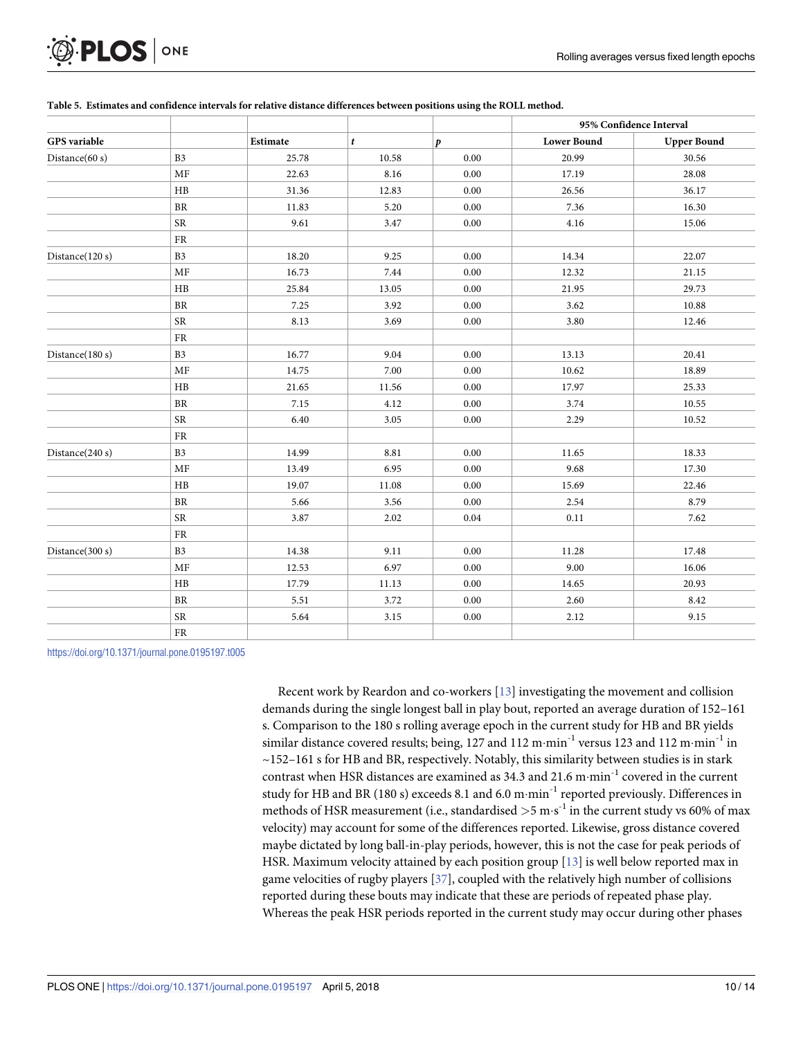| <b>O. PLOS</b> ONE |  |
|--------------------|--|
|--------------------|--|

|                     |                |          |       |                  | 95% Confidence Interval |                    |  |
|---------------------|----------------|----------|-------|------------------|-------------------------|--------------------|--|
| <b>GPS</b> variable |                | Estimate | t     | $\boldsymbol{p}$ | <b>Lower Bound</b>      | <b>Upper Bound</b> |  |
| Distance(60 s)      | B <sub>3</sub> | 25.78    | 10.58 | 0.00             | 20.99                   | 30.56              |  |
|                     | MF             | 22.63    | 8.16  | 0.00             | 17.19                   | 28.08              |  |
|                     | HB             | 31.36    | 12.83 | 0.00             | 26.56                   | 36.17              |  |
|                     | $\rm{BR}$      | 11.83    | 5.20  | 0.00             | 7.36                    | 16.30              |  |
|                     | <b>SR</b>      | 9.61     | 3.47  | 0.00             | 4.16                    | 15.06              |  |
|                     | FR             |          |       |                  |                         |                    |  |
| Distance(120 s)     | B <sub>3</sub> | 18.20    | 9.25  | 0.00             | 14.34                   | 22.07              |  |
|                     | MF             | 16.73    | 7.44  | 0.00             | 12.32                   | 21.15              |  |
|                     | HB             | 25.84    | 13.05 | 0.00             | 21.95                   | 29.73              |  |
|                     | $\rm{BR}$      | 7.25     | 3.92  | 0.00             | 3.62                    | 10.88              |  |
|                     | <b>SR</b>      | 8.13     | 3.69  | 0.00             | 3.80                    | 12.46              |  |
|                     | FR             |          |       |                  |                         |                    |  |
| Distance(180 s)     | B <sub>3</sub> | 16.77    | 9.04  | 0.00             | 13.13                   | 20.41              |  |
|                     | MF             | 14.75    | 7.00  | 0.00             | 10.62                   | 18.89              |  |
|                     | HB             | 21.65    | 11.56 | 0.00             | 17.97                   | 25.33              |  |
|                     | BR             | 7.15     | 4.12  | 0.00             | 3.74                    | 10.55              |  |
|                     | <b>SR</b>      | 6.40     | 3.05  | 0.00             | 2.29                    | 10.52              |  |
|                     | ${\rm FR}$     |          |       |                  |                         |                    |  |
| Distance $(240 s)$  | B <sub>3</sub> | 14.99    | 8.81  | 0.00             | 11.65                   | 18.33              |  |
|                     | MF             | 13.49    | 6.95  | 0.00             | 9.68                    | 17.30              |  |
|                     | HB             | 19.07    | 11.08 | 0.00             | 15.69                   | 22.46              |  |
|                     | BR             | 5.66     | 3.56  | 0.00             | 2.54                    | 8.79               |  |
|                     | <b>SR</b>      | 3.87     | 2.02  | 0.04             | 0.11                    | 7.62               |  |
|                     | ${\rm FR}$     |          |       |                  |                         |                    |  |
| Distance(300 s)     | B <sub>3</sub> | 14.38    | 9.11  | 0.00             | 11.28                   | 17.48              |  |
|                     | MF             | 12.53    | 6.97  | 0.00             | 9.00                    | 16.06              |  |
|                     | HB             | 17.79    | 11.13 | 0.00             | 14.65                   | 20.93              |  |
|                     | BR             | 5.51     | 3.72  | 0.00             | 2.60                    | 8.42               |  |
|                     | ${\rm SR}$     | 5.64     | 3.15  | 0.00             | 2.12                    | 9.15               |  |
|                     | FR             |          |       |                  |                         |                    |  |

### Table 5. Estimates and confidence intervals for relative distance differences between positions using the ROLL method.

https://doi.org/10.1371/journal.pone.0195197.t005

Recent work by Reardon and co-workers [13] investigating the movement and collision demands during the single longest ball in play bout, reported an average duration of 152–161 s. Comparison to the 180 s rolling average epoch in the current study for HB and BR yields similar distance covered results; being, 127 and 112 m $\cdot$ min<sup>-1</sup> versus 123 and 112 m $\cdot$ min<sup>-1</sup> in  $\sim$ 152–161 s for HB and BR, respectively. Notably, this similarity between studies is in stark contrast when HSR distances are examined as 34.3 and 21.6 m $\cdot$ min<sup>-1</sup> covered in the current study for HB and BR (180 s) exceeds 8.1 and 6.0 m·min<sup>-1</sup> reported previously. Differences in methods of HSR measurement (i.e., standardised  $>$  5 m·s<sup>-1</sup> in the current study vs 60% of max velocity) may account for some of the differences reported. Likewise, gross distance covered maybe dictated by long ball-in-play periods, however, this is not the case for peak periods of HSR. Maximum velocity attained by each position group [13] is well below reported max in game velocities of rugby players [37], coupled with the relatively high number of collisions reported during these bouts may indicate that these are periods of repeated phase play. Whereas the peak HSR periods reported in the current study may occur during other phases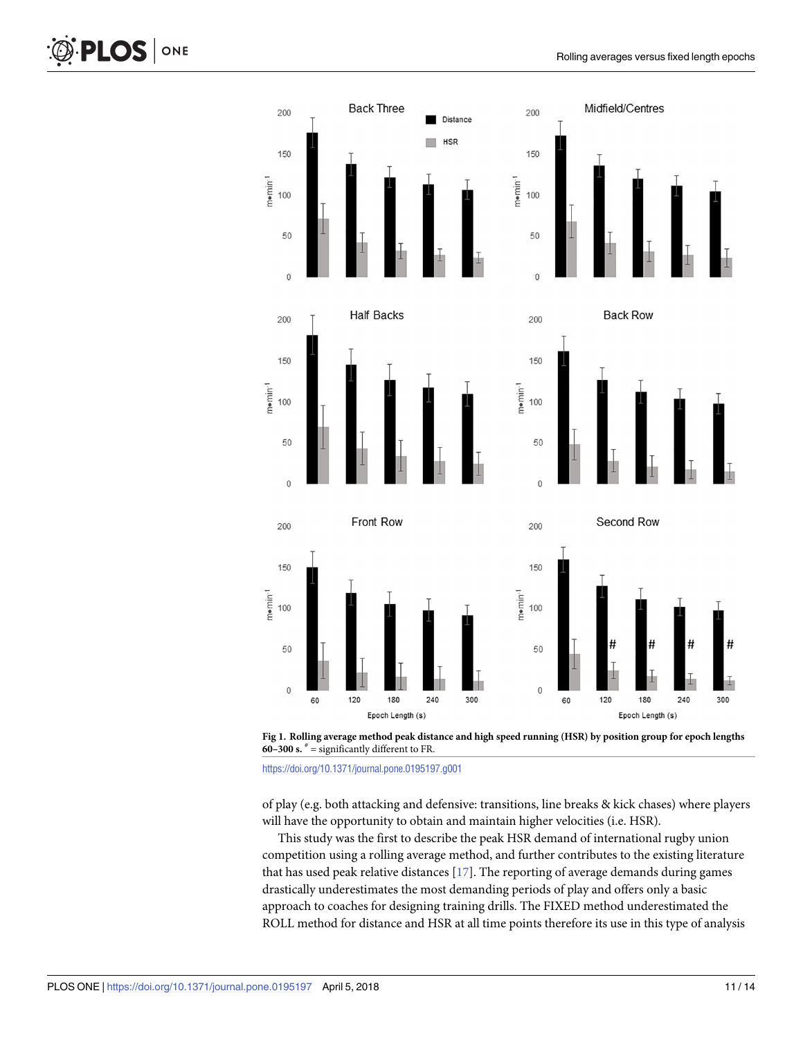



https://doi.org/10.1371/journal.pone.0195197.g001

of play (e.g. both attacking and defensive: transitions, line breaks & kick chases) where players will have the opportunity to obtain and maintain higher velocities (i.e. HSR).

This study was the first to describe the peak HSR demand of international rugby union competition using a rolling average method, and further contributes to the existing literature that has used peak relative distances [17]. The reporting of average demands during games drastically underestimates the most demanding periods of play and offers only a basic approach to coaches for designing training drills. The FIXED method underestimated the ROLL method for distance and HSR at all time points therefore its use in this type of analysis

ONE

**PLOS I**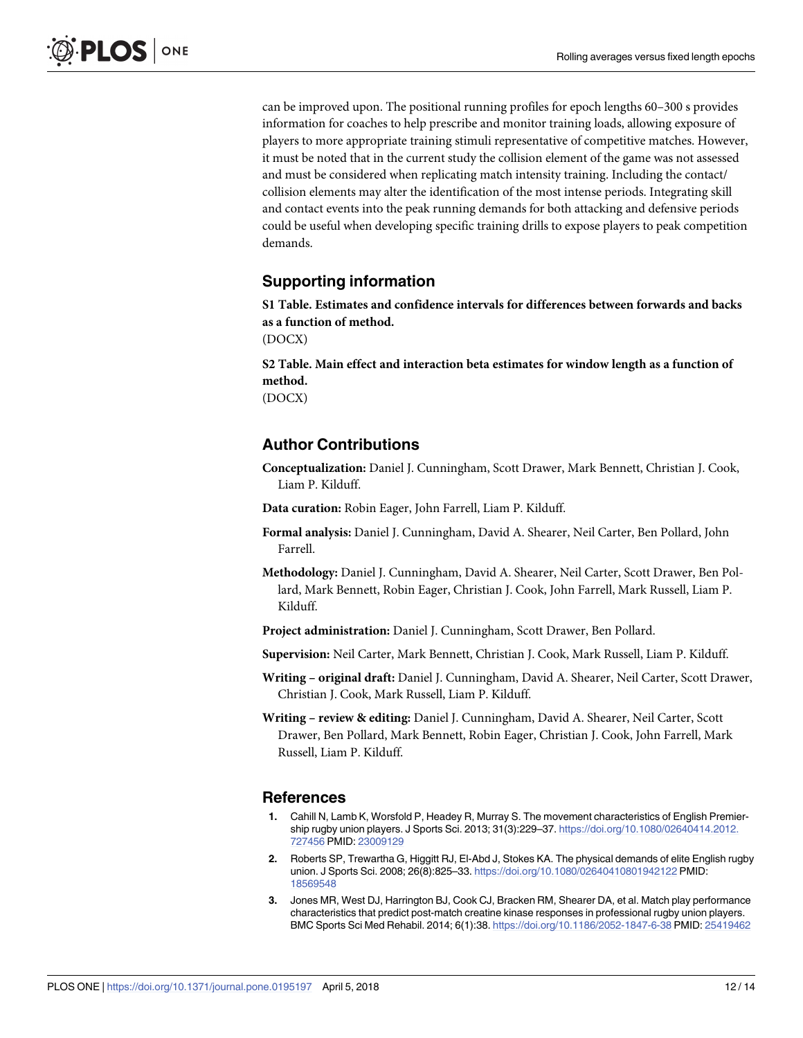can be improved upon. The positional running profiles for epoch lengths 60–300 s provides information for coaches to help prescribe and monitor training loads, allowing exposure of players to more appropriate training stimuli representative of competitive matches. However, it must be noted that in the current study the collision element of the game was not assessed and must be considered when replicating match intensity training. Including the contact/ collision elements may alter the identification of the most intense periods. Integrating skill and contact events into the peak running demands for both attacking and defensive periods could be useful when developing specific training drills to expose players to peak competition demands.

# **Supporting information**

**S1 Table. Estimates and confidence intervals for differences between forwards and backs as a function of method.** (DOCX)

**S2 Table. Main effect and interaction beta estimates for window length as a function of method.**

(DOCX)

# **Author Contributions**

**Conceptualization:** Daniel J. Cunningham, Scott Drawer, Mark Bennett, Christian J. Cook, Liam P. Kilduff.

**Data curation:** Robin Eager, John Farrell, Liam P. Kilduff.

- **Formal analysis:** Daniel J. Cunningham, David A. Shearer, Neil Carter, Ben Pollard, John Farrell.
- **Methodology:** Daniel J. Cunningham, David A. Shearer, Neil Carter, Scott Drawer, Ben Pollard, Mark Bennett, Robin Eager, Christian J. Cook, John Farrell, Mark Russell, Liam P. Kilduff.
- **Project administration:** Daniel J. Cunningham, Scott Drawer, Ben Pollard.

**Supervision:** Neil Carter, Mark Bennett, Christian J. Cook, Mark Russell, Liam P. Kilduff.

- **Writing – original draft:** Daniel J. Cunningham, David A. Shearer, Neil Carter, Scott Drawer, Christian J. Cook, Mark Russell, Liam P. Kilduff.
- **Writing – review & editing:** Daniel J. Cunningham, David A. Shearer, Neil Carter, Scott Drawer, Ben Pollard, Mark Bennett, Robin Eager, Christian J. Cook, John Farrell, Mark Russell, Liam P. Kilduff.

### **References**

- **1.** Cahill N, Lamb K, Worsfold P, Headey R, Murray S. The movement characteristics of English Premiership rugby union players. J Sports Sci. 2013; 31(3):229–37. https://doi.org/10.1080/02640414.2012. 727456 PMID: 23009129
- **2.** Roberts SP, Trewartha G, Higgitt RJ, El-Abd J, Stokes KA. The physical demands of elite English rugby union. J Sports Sci. 2008; 26(8):825–33. https://doi.org/10.1080/02640410801942122 PMID: 18569548
- **3.** Jones MR, West DJ, Harrington BJ, Cook CJ, Bracken RM, Shearer DA, et al. Match play performance characteristics that predict post-match creatine kinase responses in professional rugby union players. BMC Sports Sci Med Rehabil. 2014; 6(1):38. https://doi.org/10.1186/2052-1847-6-38 PMID: 25419462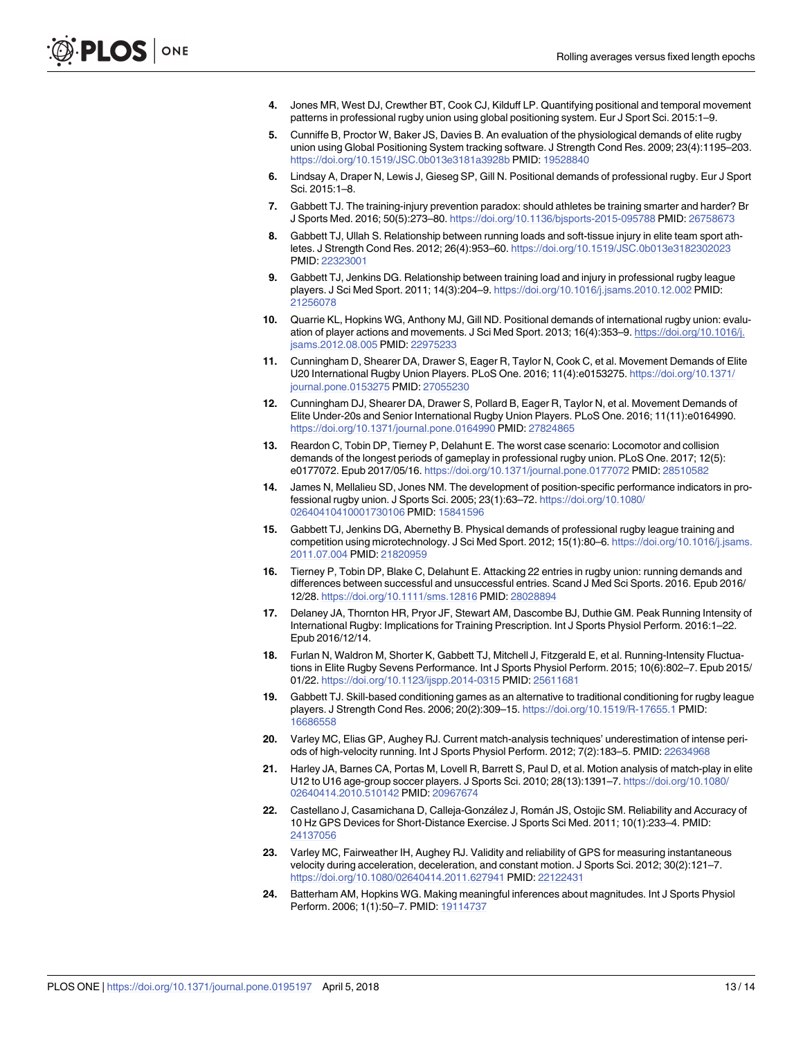- **4.** Jones MR, West DJ, Crewther BT, Cook CJ, Kilduff LP. Quantifying positional and temporal movement patterns in professional rugby union using global positioning system. Eur J Sport Sci. 2015:1–9.
- **5.** Cunniffe B, Proctor W, Baker JS, Davies B. An evaluation of the physiological demands of elite rugby union using Global Positioning System tracking software. J Strength Cond Res. 2009; 23(4):1195–203. https://doi.org/10.1519/JSC.0b013e3181a3928b PMID: 19528840
- **6.** Lindsay A, Draper N, Lewis J, Gieseg SP, Gill N. Positional demands of professional rugby. Eur J Sport Sci. 2015:1–8.
- **7.** Gabbett TJ. The training-injury prevention paradox: should athletes be training smarter and harder? Br J Sports Med. 2016; 50(5):273–80. https://doi.org/10.1136/bjsports-2015-095788 PMID: 26758673
- **8.** Gabbett TJ, Ullah S. Relationship between running loads and soft-tissue injury in elite team sport athletes. J Strength Cond Res. 2012; 26(4):953–60. https://doi.org/10.1519/JSC.0b013e3182302023 PMID: 22323001
- **9.** Gabbett TJ, Jenkins DG. Relationship between training load and injury in professional rugby league players. J Sci Med Sport. 2011; 14(3):204–9. https://doi.org/10.1016/j.jsams.2010.12.002 PMID: 21256078
- **10.** Quarrie KL, Hopkins WG, Anthony MJ, Gill ND. Positional demands of international rugby union: evaluation of player actions and movements. J Sci Med Sport. 2013; 16(4):353–9. https://doi.org/10.1016/j. jsams.2012.08.005 PMID: 22975233
- **11.** Cunningham D, Shearer DA, Drawer S, Eager R, Taylor N, Cook C, et al. Movement Demands of Elite U20 International Rugby Union Players. PLoS One. 2016; 11(4):e0153275. https://doi.org/10.1371/ journal.pone.0153275 PMID: 27055230
- **12.** Cunningham DJ, Shearer DA, Drawer S, Pollard B, Eager R, Taylor N, et al. Movement Demands of Elite Under-20s and Senior International Rugby Union Players. PLoS One. 2016; 11(11):e0164990. https://doi.org/10.1371/journal.pone.0164990 PMID: 27824865
- **13.** Reardon C, Tobin DP, Tierney P, Delahunt E. The worst case scenario: Locomotor and collision demands of the longest periods of gameplay in professional rugby union. PLoS One. 2017; 12(5): e0177072. Epub 2017/05/16. https://doi.org/10.1371/journal.pone.0177072 PMID: 28510582
- **14.** James N, Mellalieu SD, Jones NM. The development of position-specific performance indicators in professional rugby union. J Sports Sci. 2005; 23(1):63–72. https://doi.org/10.1080/ 02640410410001730106 PMID: 15841596
- **15.** Gabbett TJ, Jenkins DG, Abernethy B. Physical demands of professional rugby league training and competition using microtechnology. J Sci Med Sport. 2012; 15(1):80–6. https://doi.org/10.1016/j.jsams. 2011.07.004 PMID: 21820959
- **16.** Tierney P, Tobin DP, Blake C, Delahunt E. Attacking 22 entries in rugby union: running demands and differences between successful and unsuccessful entries. Scand J Med Sci Sports. 2016. Epub 2016/ 12/28. https://doi.org/10.1111/sms.12816 PMID: 28028894
- **17.** Delaney JA, Thornton HR, Pryor JF, Stewart AM, Dascombe BJ, Duthie GM. Peak Running Intensity of International Rugby: Implications for Training Prescription. Int J Sports Physiol Perform. 2016:1–22. Epub 2016/12/14.
- **18.** Furlan N, Waldron M, Shorter K, Gabbett TJ, Mitchell J, Fitzgerald E, et al. Running-Intensity Fluctuations in Elite Rugby Sevens Performance. Int J Sports Physiol Perform. 2015; 10(6):802–7. Epub 2015/ 01/22. https://doi.org/10.1123/ijspp.2014-0315 PMID: 25611681
- **19.** Gabbett TJ. Skill-based conditioning games as an alternative to traditional conditioning for rugby league players. J Strength Cond Res. 2006; 20(2):309–15. https://doi.org/10.1519/R-17655.1 PMID: 16686558
- **20.** Varley MC, Elias GP, Aughey RJ. Current match-analysis techniques' underestimation of intense periods of high-velocity running. Int J Sports Physiol Perform. 2012; 7(2):183–5. PMID: 22634968
- **21.** Harley JA, Barnes CA, Portas M, Lovell R, Barrett S, Paul D, et al. Motion analysis of match-play in elite U12 to U16 age-group soccer players. J Sports Sci. 2010; 28(13):1391–7. https://doi.org/10.1080/ 02640414.2010.510142 PMID: 20967674
- 22. Castellano J, Casamichana D, Calleja-González J, Román JS, Ostojic SM. Reliability and Accuracy of 10 Hz GPS Devices for Short-Distance Exercise. J Sports Sci Med. 2011; 10(1):233–4. PMID: 24137056
- **23.** Varley MC, Fairweather IH, Aughey RJ. Validity and reliability of GPS for measuring instantaneous velocity during acceleration, deceleration, and constant motion. J Sports Sci. 2012; 30(2):121–7. https://doi.org/10.1080/02640414.2011.627941 PMID: 22122431
- **24.** Batterham AM, Hopkins WG. Making meaningful inferences about magnitudes. Int J Sports Physiol Perform. 2006; 1(1):50–7. PMID: 19114737